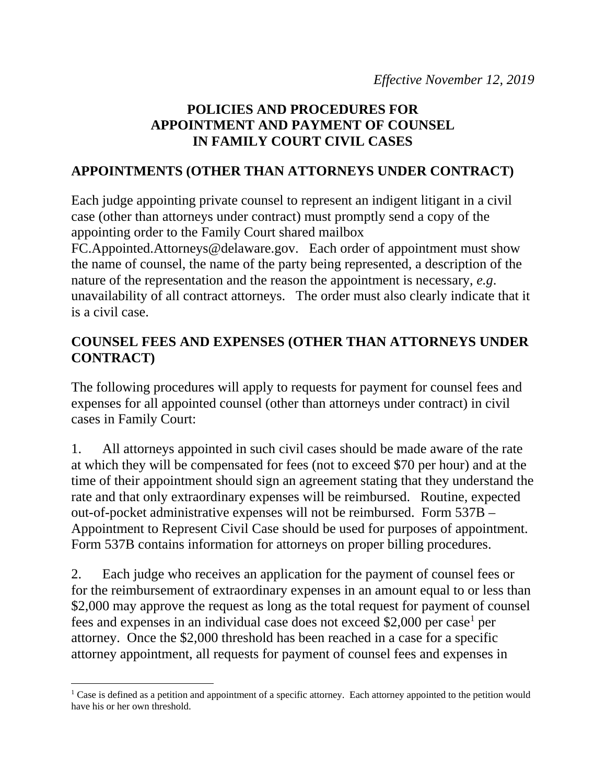## **POLICIES AND PROCEDURES FOR APPOINTMENT AND PAYMENT OF COUNSEL IN FAMILY COURT CIVIL CASES**

## **APPOINTMENTS (OTHER THAN ATTORNEYS UNDER CONTRACT)**

Each judge appointing private counsel to represent an indigent litigant in a civil case (other than attorneys under contract) must promptly send a copy of the appointing order to the Family Court shared mailbox

FC.Appointed.Attorneys@delaware.gov. Each order of appointment must show the name of counsel, the name of the party being represented, a description of the nature of the representation and the reason the appointment is necessary, *e.g*. unavailability of all contract attorneys. The order must also clearly indicate that it is a civil case.

## **COUNSEL FEES AND EXPENSES (OTHER THAN ATTORNEYS UNDER CONTRACT)**

The following procedures will apply to requests for payment for counsel fees and expenses for all appointed counsel (other than attorneys under contract) in civil cases in Family Court:

1. All attorneys appointed in such civil cases should be made aware of the rate at which they will be compensated for fees (not to exceed \$70 per hour) and at the time of their appointment should sign an agreement stating that they understand the rate and that only extraordinary expenses will be reimbursed. Routine, expected out-of-pocket administrative expenses will not be reimbursed. Form 537B – Appointment to Represent Civil Case should be used for purposes of appointment. Form 537B contains information for attorneys on proper billing procedures.

2. Each judge who receives an application for the payment of counsel fees or for the reimbursement of extraordinary expenses in an amount equal to or less than \$2,000 may approve the request as long as the total request for payment of counsel fees and expenses in an individual case does not exceed \$2,000 per case<sup>1</sup> per attorney. Once the \$2,000 threshold has been reached in a case for a specific attorney appointment, all requests for payment of counsel fees and expenses in

 $\overline{a}$ 

<sup>&</sup>lt;sup>1</sup> Case is defined as a petition and appointment of a specific attorney. Each attorney appointed to the petition would have his or her own threshold.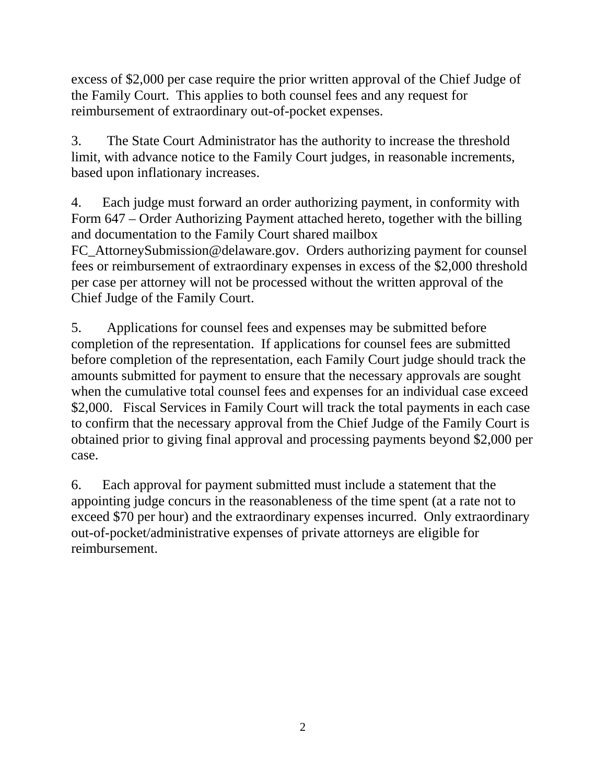excess of \$2,000 per case require the prior written approval of the Chief Judge of the Family Court. This applies to both counsel fees and any request for reimbursement of extraordinary out-of-pocket expenses.

3. The State Court Administrator has the authority to increase the threshold limit, with advance notice to the Family Court judges, in reasonable increments, based upon inflationary increases.

4. Each judge must forward an order authorizing payment, in conformity with Form 647 – Order Authorizing Payment attached hereto, together with the billing and documentation to the Family Court shared mailbox

FC\_AttorneySubmission@delaware.gov. Orders authorizing payment for counsel fees or reimbursement of extraordinary expenses in excess of the \$2,000 threshold per case per attorney will not be processed without the written approval of the Chief Judge of the Family Court.

5. Applications for counsel fees and expenses may be submitted before completion of the representation. If applications for counsel fees are submitted before completion of the representation, each Family Court judge should track the amounts submitted for payment to ensure that the necessary approvals are sought when the cumulative total counsel fees and expenses for an individual case exceed \$2,000. Fiscal Services in Family Court will track the total payments in each case to confirm that the necessary approval from the Chief Judge of the Family Court is obtained prior to giving final approval and processing payments beyond \$2,000 per case.

6. Each approval for payment submitted must include a statement that the appointing judge concurs in the reasonableness of the time spent (at a rate not to exceed \$70 per hour) and the extraordinary expenses incurred. Only extraordinary out-of-pocket/administrative expenses of private attorneys are eligible for reimbursement.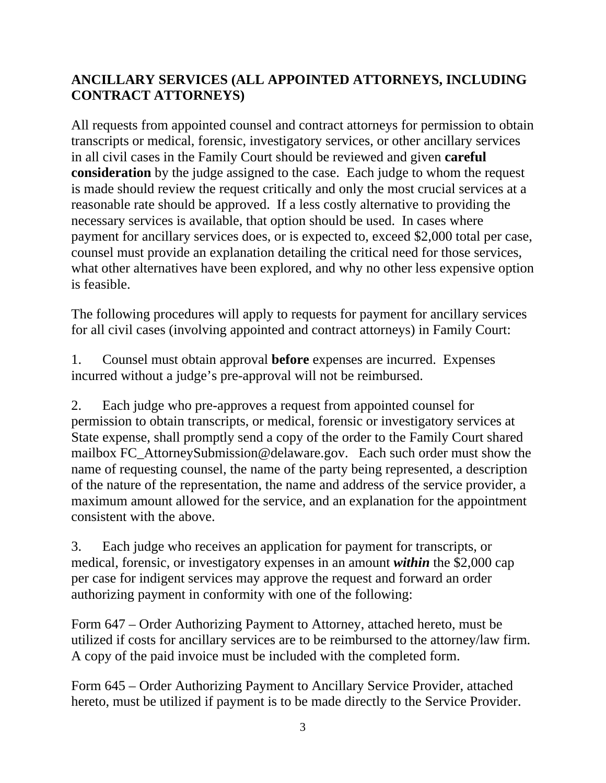## **ANCILLARY SERVICES (ALL APPOINTED ATTORNEYS, INCLUDING CONTRACT ATTORNEYS)**

All requests from appointed counsel and contract attorneys for permission to obtain transcripts or medical, forensic, investigatory services, or other ancillary services in all civil cases in the Family Court should be reviewed and given **careful consideration** by the judge assigned to the case. Each judge to whom the request is made should review the request critically and only the most crucial services at a reasonable rate should be approved. If a less costly alternative to providing the necessary services is available, that option should be used. In cases where payment for ancillary services does, or is expected to, exceed \$2,000 total per case, counsel must provide an explanation detailing the critical need for those services, what other alternatives have been explored, and why no other less expensive option is feasible.

The following procedures will apply to requests for payment for ancillary services for all civil cases (involving appointed and contract attorneys) in Family Court:

1. Counsel must obtain approval **before** expenses are incurred. Expenses incurred without a judge's pre-approval will not be reimbursed.

2. Each judge who pre-approves a request from appointed counsel for permission to obtain transcripts, or medical, forensic or investigatory services at State expense, shall promptly send a copy of the order to the Family Court shared mailbox FC\_AttorneySubmission@delaware.gov. Each such order must show the name of requesting counsel, the name of the party being represented, a description of the nature of the representation, the name and address of the service provider, a maximum amount allowed for the service, and an explanation for the appointment consistent with the above.

3. Each judge who receives an application for payment for transcripts, or medical, forensic, or investigatory expenses in an amount *within* the \$2,000 cap per case for indigent services may approve the request and forward an order authorizing payment in conformity with one of the following:

Form 647 – Order Authorizing Payment to Attorney, attached hereto, must be utilized if costs for ancillary services are to be reimbursed to the attorney/law firm. A copy of the paid invoice must be included with the completed form.

Form 645 – Order Authorizing Payment to Ancillary Service Provider, attached hereto, must be utilized if payment is to be made directly to the Service Provider.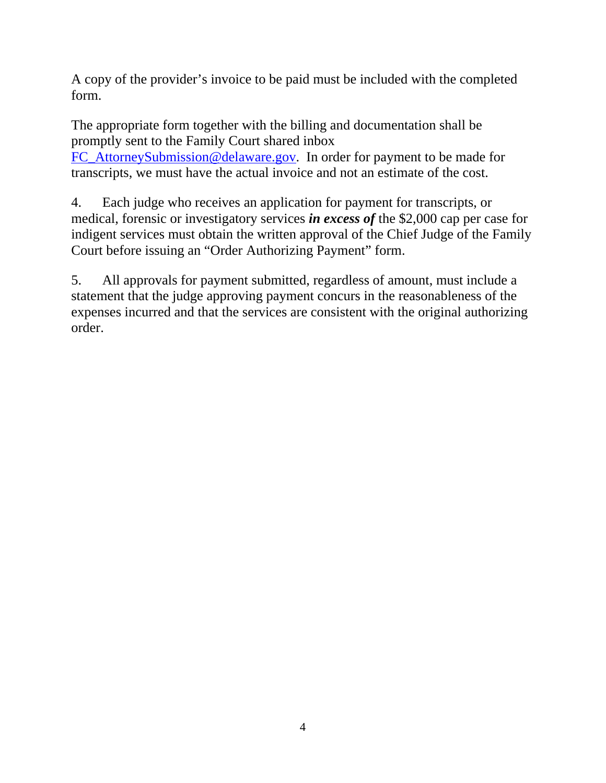A copy of the provider's invoice to be paid must be included with the completed form.

The appropriate form together with the billing and documentation shall be promptly sent to the Family Court shared inbox FC\_AttorneySubmission@delaware.gov. In order for payment to be made for

transcripts, we must have the actual invoice and not an estimate of the cost.

4. Each judge who receives an application for payment for transcripts, or medical, forensic or investigatory services *in excess of* the \$2,000 cap per case for indigent services must obtain the written approval of the Chief Judge of the Family Court before issuing an "Order Authorizing Payment" form.

5. All approvals for payment submitted, regardless of amount, must include a statement that the judge approving payment concurs in the reasonableness of the expenses incurred and that the services are consistent with the original authorizing order.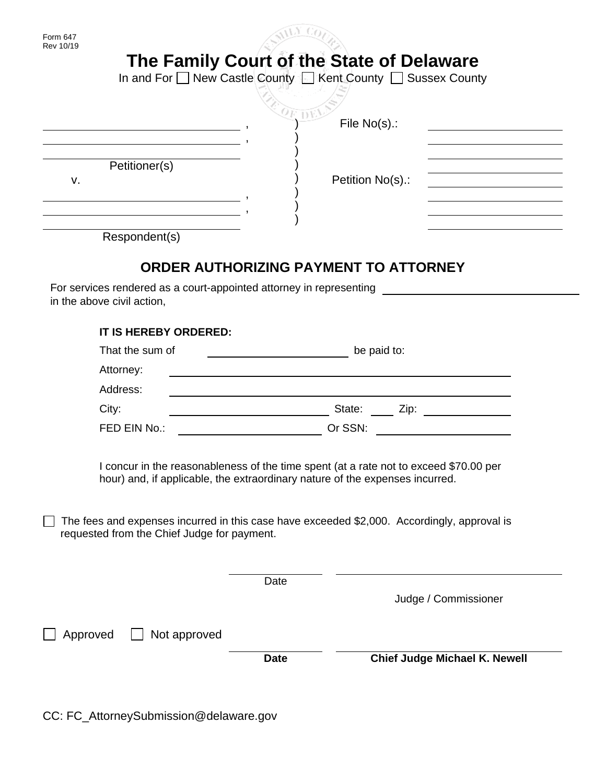|                                                                                                                                                                                                                                      | File No(s).:                                                                                                         |  |  |
|--------------------------------------------------------------------------------------------------------------------------------------------------------------------------------------------------------------------------------------|----------------------------------------------------------------------------------------------------------------------|--|--|
| Petitioner(s)                                                                                                                                                                                                                        |                                                                                                                      |  |  |
| v.                                                                                                                                                                                                                                   | Petition No(s).:                                                                                                     |  |  |
| <u>and the contract of the contract of the contract of the contract of the contract of the contract of the contract of the contract of the contract of the contract of the contract of the contract of the contract of the contr</u> |                                                                                                                      |  |  |
| Respondent(s)                                                                                                                                                                                                                        |                                                                                                                      |  |  |
|                                                                                                                                                                                                                                      |                                                                                                                      |  |  |
|                                                                                                                                                                                                                                      | ORDER AUTHORIZING PAYMENT TO ATTORNEY                                                                                |  |  |
| For services rendered as a court-appointed attorney in representing<br>in the above civil action,                                                                                                                                    |                                                                                                                      |  |  |
| <b>IT IS HEREBY ORDERED:</b>                                                                                                                                                                                                         |                                                                                                                      |  |  |
| That the sum of                                                                                                                                                                                                                      | be paid to:<br><u> 1989 - Johann Barn, fransk politik (</u>                                                          |  |  |
| Attorney:                                                                                                                                                                                                                            | <u> 1989 - Johann Stein, mars an deutscher Stein und der Stein und der Stein und der Stein und der Stein und der</u> |  |  |
| Address:                                                                                                                                                                                                                             |                                                                                                                      |  |  |
| City:                                                                                                                                                                                                                                | State: ____ Zip: ______________                                                                                      |  |  |
| FED EIN No.:                                                                                                                                                                                                                         | Or SSN:                                                                                                              |  |  |
|                                                                                                                                                                                                                                      |                                                                                                                      |  |  |
|                                                                                                                                                                                                                                      | I concur in the reasonableness of the time spent (at a rate not to exceed \$70.00 per                                |  |  |
|                                                                                                                                                                                                                                      | hour) and, if applicable, the extraordinary nature of the expenses incurred.                                         |  |  |
| requested from the Chief Judge for payment.                                                                                                                                                                                          | The fees and expenses incurred in this case have exceeded \$2,000. Accordingly, approval is                          |  |  |
|                                                                                                                                                                                                                                      |                                                                                                                      |  |  |
|                                                                                                                                                                                                                                      | Date                                                                                                                 |  |  |
|                                                                                                                                                                                                                                      | Judge / Commissioner                                                                                                 |  |  |
| Not approved<br>Approved                                                                                                                                                                                                             |                                                                                                                      |  |  |

CC: FC\_AttorneySubmission@delaware.gov